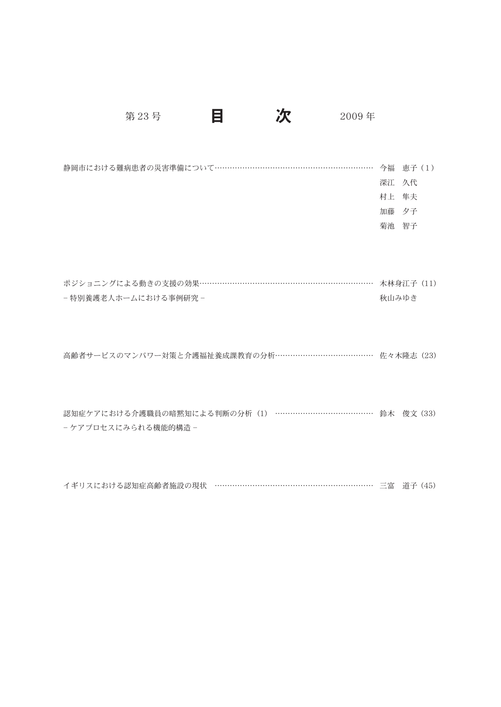第23号 目 次 2009年

静岡市における難病患者の災害準備について……………………………………………………… 今福 恵子 (1) 深江 久代 村上 隼夫 加藤 夕子 菊池 智子

| ポジショニングによる動きの支援の効果……………………………………………………………… 木林身江子 (11) |       |
|-------------------------------------------------------|-------|
| - 特別養護老人ホームにおける事例研究 -                                 | 秋山みゆき |

高齢者サービスのマンパワー対策と介護福祉養成課教育の分析………………………………… 佐々木隆志(23)

認知症ケアにおける介護職員の暗黙知による判断の分析(1) ………………………………… 鈴木 俊文 (33) -ケアプロセスにみられる機能的構造 -

イギリスにおける認知症高齢者施設の現状 ……………………………………………………… 三富 道子 (45)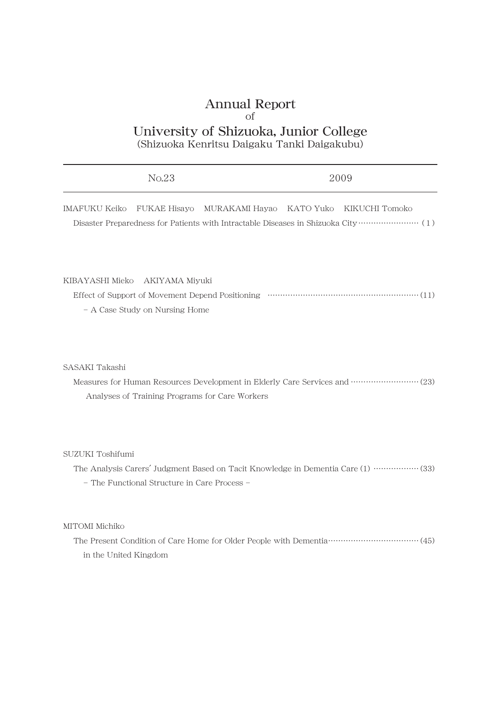## Annual Report of University of Shizuoka, Junior College (Shizuoka Kenritsu Daigaku Tanki Daigakubu)

| No.23                                                                                                                                                       |                |           | 2009           |
|-------------------------------------------------------------------------------------------------------------------------------------------------------------|----------------|-----------|----------------|
| <b>IMAFUKU Keiko</b><br><b>FUKAE Hisayo</b>                                                                                                                 | MURAKAMI Hayao | KATO Yuko | KIKUCHI Tomoko |
| KIBAYASHI Mieko<br>AKIYAMA Miyuki<br>- A Case Study on Nursing Home                                                                                         |                |           |                |
| SASAKI Takashi<br>Measures for Human Resources Development in Elderly Care Services and  (23)<br>Analyses of Training Programs for Care Workers             |                |           |                |
| SUZUKI Toshifumi<br>The Analysis Carers' Judgment Based on Tacit Knowledge in Dementia Care (1) ……………… (33)<br>- The Functional Structure in Care Process - |                |           |                |
| MITOMI Michiko                                                                                                                                              |                |           |                |

The Present Condition of Care Home for Older People with Dementia …………………………………… (45) in the United Kingdom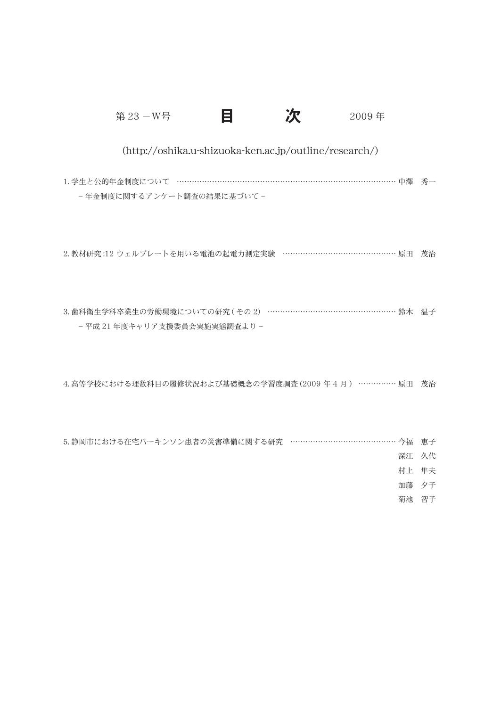第 23 -W号 **目** 2009 年

### (http://oshika.u-shizuoka-ken.ac.jp/outline/research/)

1. 学生と公的年金制度について ………………………………………………………………………… 中澤 秀一 -年金制度に関するアンケート調査の結果に基づいて -

2. 教材研究 :12 ウェルプレートを用いる電池の起電力測定実験 ……………………………………… 原田 茂治

3. 歯科衛生学科卒業生の労働環境についての研究 ( その 2) ………………………………………………… 鈴木 温子 -平成 21 年度キャリア支援委員会実施実態調査より -

4. 高等学校における理数科目の履修状況および基礎概念の学習度調査 (2009 年 4 月 ) …………… 原田 茂治

5. 静岡市における在宅パーキンソン患者の災害準備に関する研究 …………………………………… 今福 恵子

深江 久代

村上 隼夫

加藤 夕子

菊池 智子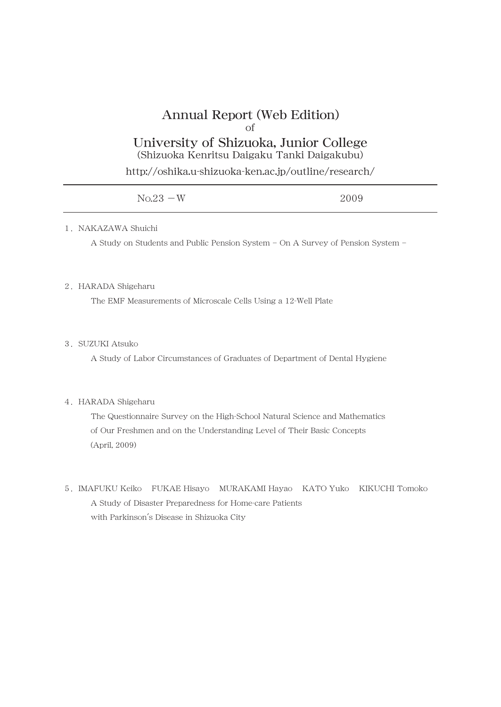# Annual Report (Web Edition) of

## University of Shizuoka, Junior College (Shizuoka Kenritsu Daigaku Tanki Daigakubu)

http://oshika.u-shizuoka-ken.ac.jp/outline/research/

| $No.23 - W$ | 2009 |
|-------------|------|
|             |      |

#### 1. NAKAZAWA Shuichi

A Study on Students and Public Pension System - On A Survey of Pension System -

#### 2.HARADA Shigeharu

The EMF Measurements of Microscale Cells Using a 12-Well Plate

#### 3.SUZUKI Atsuko

A Study of Labor Circumstances of Graduates of Department of Dental Hygiene

#### 4.HARADA Shigeharu

The Questionnaire Survey on the High-School Natural Science and Mathematics of Our Freshmen and on the Understanding Level of Their Basic Concepts (April, 2009)

5.IMAFUKU Keiko FUKAE Hisayo MURAKAMI Hayao KATO Yuko KIKUCHI Tomoko A Study of Disaster Preparedness for Home-care Patients with Parkinson's Disease in Shizuoka City